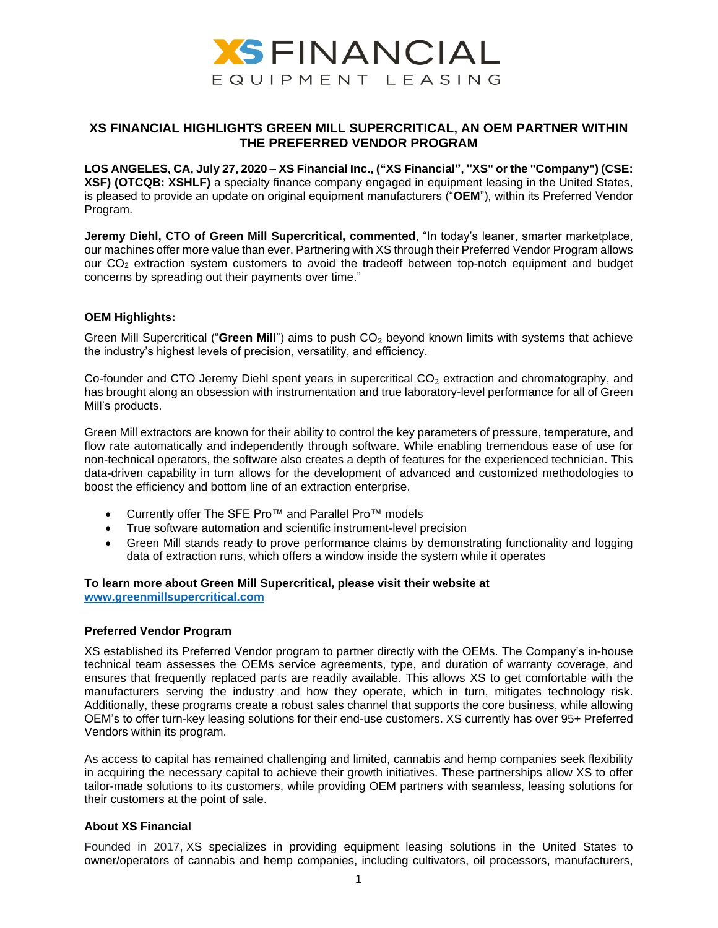

## **XS FINANCIAL HIGHLIGHTS GREEN MILL SUPERCRITICAL, AN OEM PARTNER WITHIN THE PREFERRED VENDOR PROGRAM**

**LOS ANGELES, CA, July 27, 2020 – XS Financial Inc., ("XS Financial", "XS" or the "Company") (CSE: XSF) (OTCQB: XSHLF)** a specialty finance company engaged in equipment leasing in the United States, is pleased to provide an update on original equipment manufacturers ("**OEM**"), within its Preferred Vendor Program.

**Jeremy Diehl, CTO of Green Mill Supercritical, commented**, "In today's leaner, smarter marketplace, our machines offer more value than ever. Partnering with XS through their Preferred Vendor Program allows our CO<sup>2</sup> extraction system customers to avoid the tradeoff between top-notch equipment and budget concerns by spreading out their payments over time."

## **OEM Highlights:**

Green Mill Supercritical ("Green Mill") aims to push CO<sub>2</sub> beyond known limits with systems that achieve the industry's highest levels of precision, versatility, and efficiency.

Co-founder and CTO Jeremy Diehl spent years in supercritical CO<sub>2</sub> extraction and chromatography, and has brought along an obsession with instrumentation and true laboratory-level performance for all of Green Mill's products.

Green Mill extractors are known for their ability to control the key parameters of pressure, temperature, and flow rate automatically and independently through software. While enabling tremendous ease of use for non-technical operators, the software also creates a depth of features for the experienced technician. This data-driven capability in turn allows for the development of advanced and customized methodologies to boost the efficiency and bottom line of an extraction enterprise.

- Currently offer The SFE Pro™ and Parallel Pro™ models
- True software automation and scientific instrument-level precision
- Green Mill stands ready to prove performance claims by demonstrating functionality and logging data of extraction runs, which offers a window inside the system while it operates

# **To learn more about Green Mill Supercritical, please visit their website at**

**[www.greenmillsupercritical.com](http://www.greenmillsupercritical.com/)**

## **Preferred Vendor Program**

XS established its Preferred Vendor program to partner directly with the OEMs. The Company's in-house technical team assesses the OEMs service agreements, type, and duration of warranty coverage, and ensures that frequently replaced parts are readily available. This allows XS to get comfortable with the manufacturers serving the industry and how they operate, which in turn, mitigates technology risk. Additionally, these programs create a robust sales channel that supports the core business, while allowing OEM's to offer turn-key leasing solutions for their end-use customers. XS currently has over 95+ Preferred Vendors within its program.

As access to capital has remained challenging and limited, cannabis and hemp companies seek flexibility in acquiring the necessary capital to achieve their growth initiatives. These partnerships allow XS to offer tailor-made solutions to its customers, while providing OEM partners with seamless, leasing solutions for their customers at the point of sale.

## **About XS Financial**

Founded in 2017, XS specializes in providing equipment leasing solutions in the United States to owner/operators of cannabis and hemp companies, including cultivators, oil processors, manufacturers,